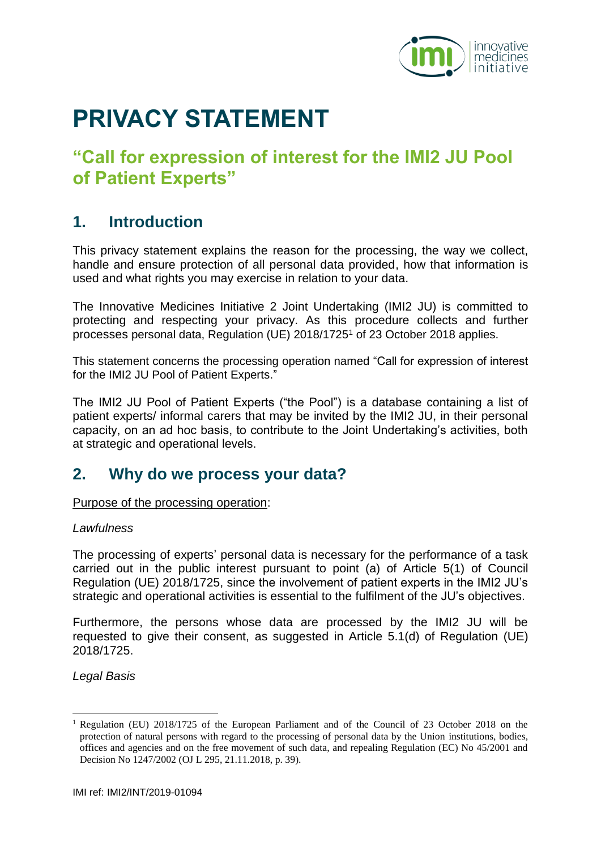

# **PRIVACY STATEMENT**

## **"Call for expression of interest for the IMI2 JU Pool of Patient Experts"**

#### **1. Introduction**

This privacy statement explains the reason for the processing, the way we collect, handle and ensure protection of all personal data provided, how that information is used and what rights you may exercise in relation to your data.

The Innovative Medicines Initiative 2 Joint Undertaking (IMI2 JU) is committed to protecting and respecting your privacy. As this procedure collects and further processes personal data, Regulation (UE) 2018/1725<sup>1</sup> of 23 October 2018 applies.

This statement concerns the processing operation named "Call for expression of interest for the IMI2 JU Pool of Patient Experts."

The IMI2 JU Pool of Patient Experts ("the Pool") is a database containing a list of patient experts/ informal carers that may be invited by the IMI2 JU, in their personal capacity, on an ad hoc basis, to contribute to the Joint Undertaking's activities, both at strategic and operational levels.

#### **2. Why do we process your data?**

Purpose of the processing operation:

#### *Lawfulness*

The processing of experts' personal data is necessary for the performance of a task carried out in the public interest pursuant to point (a) of Article 5(1) of Council Regulation (UE) 2018/1725, since the involvement of patient experts in the IMI2 JU's strategic and operational activities is essential to the fulfilment of the JU's objectives.

Furthermore, the persons whose data are processed by the IMI2 JU will be requested to give their consent, as suggested in Article 5.1(d) of Regulation (UE) 2018/1725.

*Legal Basis*

<u>.</u>

<sup>1</sup> Regulation (EU) 2018/1725 of the European Parliament and of the Council of 23 October 2018 on the protection of natural persons with regard to the processing of personal data by the Union institutions, bodies, offices and agencies and on the free movement of such data, and repealing Regulation (EC) No 45/2001 and Decision No 1247/2002 (OJ L 295, 21.11.2018, p. 39).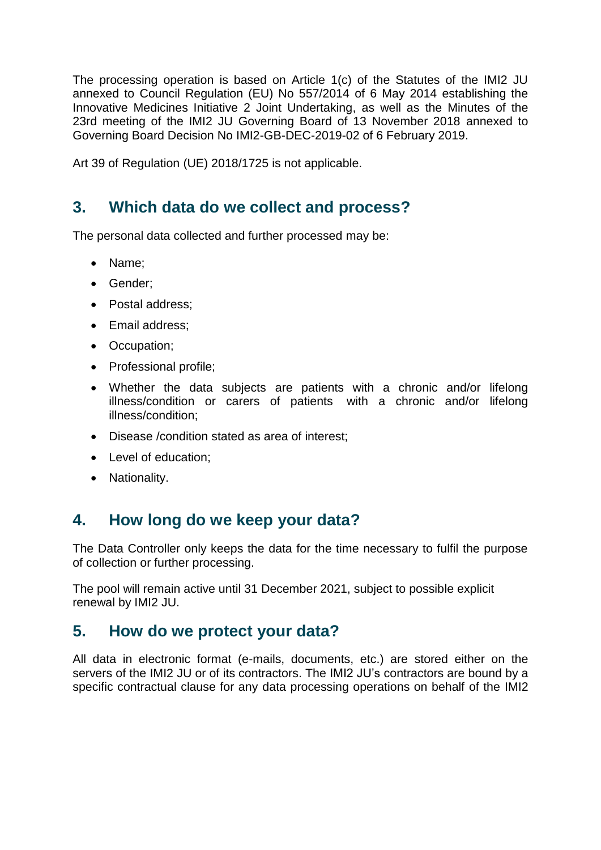The processing operation is based on Article 1(c) of the Statutes of the IMI2 JU annexed to Council Regulation (EU) No 557/2014 of 6 May 2014 establishing the Innovative Medicines Initiative 2 Joint Undertaking, as well as the Minutes of the 23rd meeting of the IMI2 JU Governing Board of 13 November 2018 annexed to Governing Board Decision No IMI2-GB-DEC-2019-02 of 6 February 2019.

Art 39 of Regulation (UE) 2018/1725 is not applicable.

#### **3. Which data do we collect and process?**

The personal data collected and further processed may be:

- Name:
- Gender;
- Postal address:
- Email address;
- Occupation;
- Professional profile;
- Whether the data subjects are patients with a chronic and/or lifelong illness/condition or carers of patients with a chronic and/or lifelong illness/condition;
- Disease /condition stated as area of interest;
- Level of education:
- Nationality.

### **4. How long do we keep your data?**

The Data Controller only keeps the data for the time necessary to fulfil the purpose of collection or further processing.

The pool will remain active until 31 December 2021, subject to possible explicit renewal by IMI2 JU.

#### **5. How do we protect your data?**

All data in electronic format (e-mails, documents, etc.) are stored either on the servers of the IMI2 JU or of its contractors. The IMI2 JU's contractors are bound by a specific contractual clause for any data processing operations on behalf of the IMI2